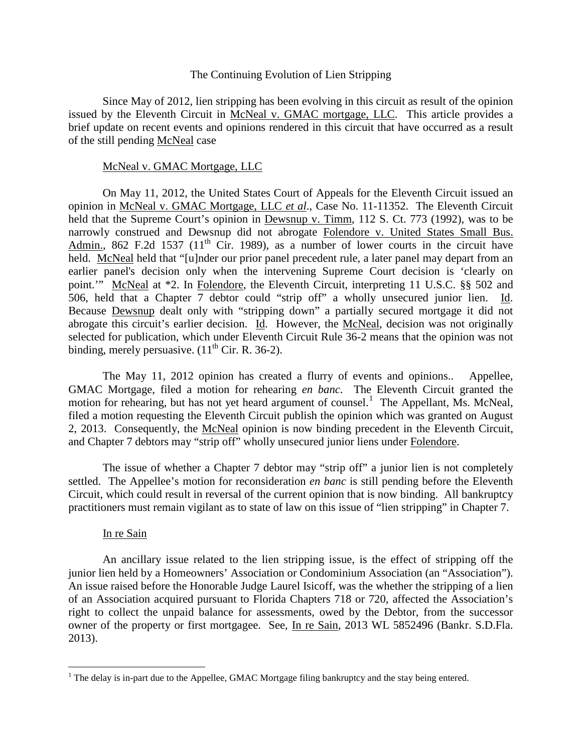## The Continuing Evolution of Lien Stripping

Since May of 2012, lien stripping has been evolving in this circuit as result of the opinion issued by the Eleventh Circuit in McNeal v. GMAC mortgage, LLC. This article provides a brief update on recent events and opinions rendered in this circuit that have occurred as a result of the still pending McNeal case

## McNeal v. GMAC Mortgage, LLC

On May 11, 2012, the United States Court of Appeals for the Eleventh Circuit issued an opinion in McNeal v. GMAC Mortgage, LLC *et al*., Case No. 11-11352. The Eleventh Circuit held that the Supreme Court's opinion in Dewsnup v. Timm, 112 S. Ct. 773 (1992), was to be narrowly construed and Dewsnup did not abrogate Folendore v. United States Small Bus. Admin., 862 F.2d 1537 (11<sup>th</sup> Cir. 1989), as a number of lower courts in the circuit have held. McNeal held that "[u]nder our prior panel precedent rule, a later panel may depart from an earlier panel's decision only when the intervening Supreme Court decision is 'clearly on point.'" McNeal at \*2. In Folendore, the Eleventh Circuit, interpreting 11 U.S.C. §§ 502 and 506, held that a Chapter 7 debtor could "strip off" a wholly unsecured junior lien. Id. Because Dewsnup dealt only with "stripping down" a partially secured mortgage it did not abrogate this circuit's earlier decision. Id. However, the McNeal, decision was not originally selected for publication, which under Eleventh Circuit Rule 36-2 means that the opinion was not binding, merely persuasive.  $(11<sup>th</sup> Cir. R. 36-2)$ .

The May 11, 2012 opinion has created a flurry of events and opinions.. Appellee, GMAC Mortgage, filed a motion for rehearing *en banc*. The Eleventh Circuit granted the motion for rehearing, but has not yet heard argument of counsel.<sup>[1](#page-0-0)</sup> The Appellant, Ms. McNeal, filed a motion requesting the Eleventh Circuit publish the opinion which was granted on August 2, 2013. Consequently, the McNeal opinion is now binding precedent in the Eleventh Circuit, and Chapter 7 debtors may "strip off" wholly unsecured junior liens under Folendore.

The issue of whether a Chapter 7 debtor may "strip off" a junior lien is not completely settled. The Appellee's motion for reconsideration *en banc* is still pending before the Eleventh Circuit, which could result in reversal of the current opinion that is now binding. All bankruptcy practitioners must remain vigilant as to state of law on this issue of "lien stripping" in Chapter 7.

## In re Sain

An ancillary issue related to the lien stripping issue, is the effect of stripping off the junior lien held by a Homeowners' Association or Condominium Association (an "Association"). An issue raised before the Honorable Judge Laurel Isicoff, was the whether the stripping of a lien of an Association acquired pursuant to Florida Chapters 718 or 720, affected the Association's right to collect the unpaid balance for assessments, owed by the Debtor, from the successor owner of the property or first mortgagee. See, In re Sain, 2013 WL 5852496 (Bankr. S.D.Fla. 2013).

<span id="page-0-0"></span><sup>&</sup>lt;sup>1</sup> The delay is in-part due to the Appellee, GMAC Mortgage filing bankruptcy and the stay being entered.